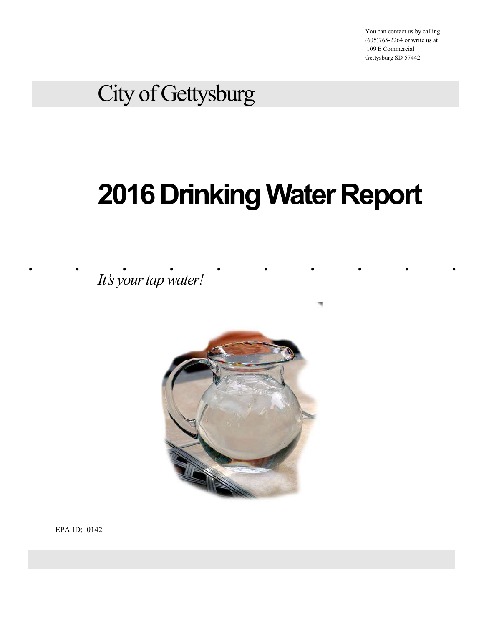You can contact us by calling (605)765-2264 or write us at 109 E Commercial Gettysburg SD 57442

# City of Gettysburg

# City of Gettysburg<br> **2016 Drinking Water Report**<br> *Its your tap water!* 2016 Drinking Water Report

It's your tap water!



EPA ID: 0142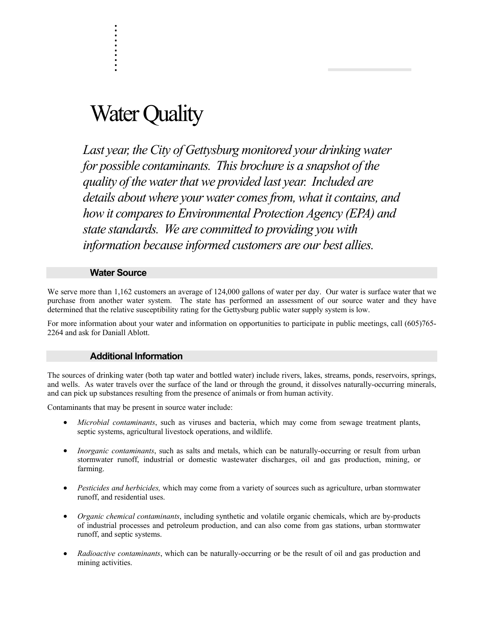# Water Quality

. . . . . . .

. . .

Last year, the City of Gettysburg monitored your drinking water for possible contaminants. This brochure is a snapshot of the quality of the water that we provided last year. Included are details about where your water comes from, what it contains, and how it compares to Environmental Protection Agency (EPA) and state standards. We are committed to providing you with information because informed customers are our best allies.

### Water Source

We serve more than 1,162 customers an average of 124,000 gallons of water per day. Our water is surface water that we purchase from another water system. The state has performed an assessment of our source water and they have determined that the relative susceptibility rating for the Gettysburg public water supply system is low.

For more information about your water and information on opportunities to participate in public meetings, call (605)765- 2264 and ask for Daniall Ablott.

### Additional Information

The sources of drinking water (both tap water and bottled water) include rivers, lakes, streams, ponds, reservoirs, springs, and wells. As water travels over the surface of the land or through the ground, it dissolves naturally-occurring minerals, and can pick up substances resulting from the presence of animals or from human activity.

Contaminants that may be present in source water include:

- Microbial contaminants, such as viruses and bacteria, which may come from sewage treatment plants, septic systems, agricultural livestock operations, and wildlife.
- Inorganic contaminants, such as salts and metals, which can be naturally-occurring or result from urban stormwater runoff, industrial or domestic wastewater discharges, oil and gas production, mining, or farming.
- Pesticides and herbicides, which may come from a variety of sources such as agriculture, urban stormwater runoff, and residential uses.
- Organic chemical contaminants, including synthetic and volatile organic chemicals, which are by-products of industrial processes and petroleum production, and can also come from gas stations, urban stormwater runoff, and septic systems.
- Radioactive contaminants, which can be naturally-occurring or be the result of oil and gas production and mining activities.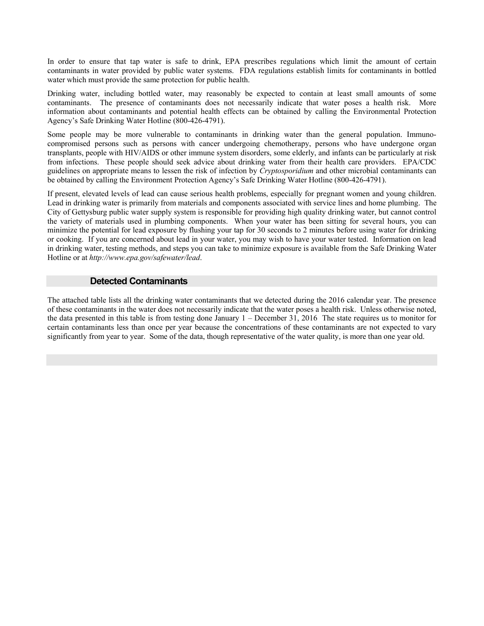In order to ensure that tap water is safe to drink, EPA prescribes regulations which limit the amount of certain contaminants in water provided by public water systems. FDA regulations establish limits for contaminants in bottled water which must provide the same protection for public health.

Drinking water, including bottled water, may reasonably be expected to contain at least small amounts of some contaminants. The presence of contaminants does not necessarily indicate that water poses a health risk. More information about contaminants and potential health effects can be obtained by calling the Environmental Protection Agency's Safe Drinking Water Hotline (800-426-4791).

Some people may be more vulnerable to contaminants in drinking water than the general population. Immunocompromised persons such as persons with cancer undergoing chemotherapy, persons who have undergone organ transplants, people with HIV/AIDS or other immune system disorders, some elderly, and infants can be particularly at risk from infections. These people should seek advice about drinking water from their health care providers. EPA/CDC guidelines on appropriate means to lessen the risk of infection by Cryptosporidium and other microbial contaminants can be obtained by calling the Environment Protection Agency's Safe Drinking Water Hotline (800-426-4791).

If present, elevated levels of lead can cause serious health problems, especially for pregnant women and young children. Lead in drinking water is primarily from materials and components associated with service lines and home plumbing. The City of Gettysburg public water supply system is responsible for providing high quality drinking water, but cannot control the variety of materials used in plumbing components. When your water has been sitting for several hours, you can minimize the potential for lead exposure by flushing your tap for 30 seconds to 2 minutes before using water for drinking or cooking. If you are concerned about lead in your water, you may wish to have your water tested. Information on lead in drinking water, testing methods, and steps you can take to minimize exposure is available from the Safe Drinking Water Hotline or at http://www.epa.gov/safewater/lead.

### Detected Contaminants

The attached table lists all the drinking water contaminants that we detected during the 2016 calendar year. The presence of these contaminants in the water does not necessarily indicate that the water poses a health risk. Unless otherwise noted, the data presented in this table is from testing done January 1 – December 31, 2016 The state requires us to monitor for certain contaminants less than once per year because the concentrations of these contaminants are not expected to vary significantly from year to year. Some of the data, though representative of the water quality, is more than one year old.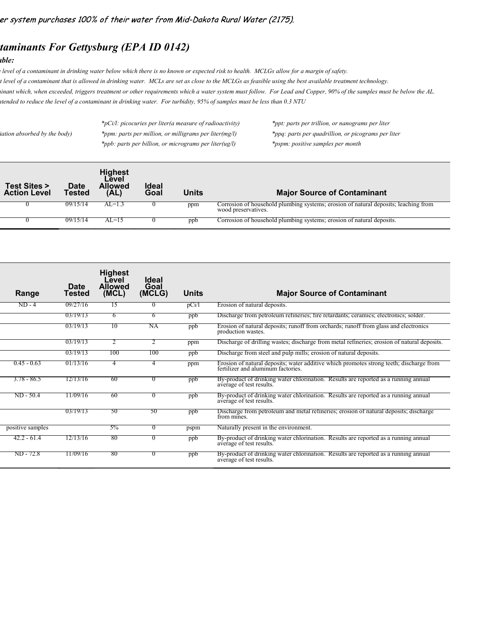## taminants For Gettysburg (EPA ID 0142)

### $\boldsymbol{a}$ ble:

|                                               |                | taminants For Gettysburg (EPA ID 0142)            |                      |                                                                |                                                                                                                                                           |  |
|-----------------------------------------------|----------------|---------------------------------------------------|----------------------|----------------------------------------------------------------|-----------------------------------------------------------------------------------------------------------------------------------------------------------|--|
| <i><b>able:</b></i>                           |                |                                                   |                      |                                                                |                                                                                                                                                           |  |
|                                               |                |                                                   |                      |                                                                | elevel of a contaminant in drinking water below which there is no known or expected risk to health. MCLGs allow for a margin of safety.                   |  |
|                                               |                |                                                   |                      |                                                                | t level of a contaminant that is allowed in drinking water. MCLs are set as close to the MCLGs as feasible using the best available treatment technology. |  |
|                                               |                |                                                   |                      |                                                                | ttended to reduce the level of a contaminant in drinking water. For turbidity, 95% of samples must be less than 0.3 NTU                                   |  |
|                                               |                |                                                   |                      | $*_{p}$ Ci/l: picocuries per liter(a measure of radioactivity) | *ppt: parts per trillion, or nanograms per liter                                                                                                          |  |
| iation absorbed by the body)                  |                |                                                   |                      | *ppm: parts per million, or milligrams per liter(mg/l)         | *ppq: parts per quadrillion, or picograms per liter                                                                                                       |  |
|                                               |                |                                                   |                      | *ppb: parts per billion, or micrograms per liter(ug/l)         | *pspm: positive samples per month                                                                                                                         |  |
| <b>Test Sites &gt;</b><br><b>Action Level</b> | Date<br>Tested | <b>Highest</b><br>Level<br><b>Allowed</b><br>(AL) | <b>Ideal</b><br>Goal | <b>Units</b>                                                   | <b>Major Source of Contaminant</b>                                                                                                                        |  |
|                                               | 09/15/14       | $AL=1.3$                                          | $\bf{0}$             | ppm                                                            | Corrosion of household plumbing systems; erosion of natural deposits; leaching from<br>wood preservatives.                                                |  |
|                                               |                |                                                   |                      |                                                                |                                                                                                                                                           |  |

| iation absorbed by the body)                  |                              |                                                    | *pCi/l: picocuries per liter(a measure of radioactivity)<br>*ppm: parts per million, or milligrams per liter(mg/l)<br>*ppb: parts per billion, or micrograms per liter(ug/l) |              | *ppt: parts per trillion, or nanograms per liter<br>*ppq: parts per quadrillion, or picograms per liter<br>*pspm: positive samples per month |
|-----------------------------------------------|------------------------------|----------------------------------------------------|------------------------------------------------------------------------------------------------------------------------------------------------------------------------------|--------------|----------------------------------------------------------------------------------------------------------------------------------------------|
| <b>Test Sites &gt;</b><br><b>Action Level</b> | <b>Date</b><br><b>Tested</b> | <b>Highest</b><br>Level<br><b>Allowed</b><br>(AL)  | <b>Ideal</b><br>Goal                                                                                                                                                         | <b>Units</b> | <b>Major Source of Contaminant</b>                                                                                                           |
| 0                                             | 09/15/14                     | $AL=1.3$                                           | $\overline{0}$                                                                                                                                                               | ppm          | Corrosion of household plumbing systems; erosion of natural deposits; leaching from<br>wood preservatives.                                   |
| $\theta$                                      | 09/15/14                     | $AL=15$                                            | $\bf{0}$                                                                                                                                                                     | ppb          | Corrosion of household plumbing systems; erosion of natural deposits.                                                                        |
| Range                                         | <b>Date</b><br>Tested        | <b>Highest</b><br>Level<br><b>Allowed</b><br>(MCL) | <b>Ideal</b><br>Goal<br>(MCLG)                                                                                                                                               | <b>Units</b> | <b>Major Source of Contaminant</b>                                                                                                           |
| $ND - 4$                                      | 09/27/16                     | 15                                                 | $\mathbf{0}$                                                                                                                                                                 | pCi/1        | Erosion of natural deposits.                                                                                                                 |
|                                               | 03/19/13                     | 6                                                  | 6                                                                                                                                                                            | ppb          | Discharge from petroleum refineries; fire retardants; ceramics; electronics; solder.                                                         |
|                                               | 03/19/13                     | 10                                                 | NA                                                                                                                                                                           | ppb          | Erosion of natural deposits; runoff from orchards; runoff from glass and electronics<br>production wastes.                                   |
|                                               | 03/19/13                     | 2                                                  | 2                                                                                                                                                                            | ppm          | Discharge of drilling wastes; discharge from metal refineries; erosion of natural deposits.                                                  |
|                                               | 03/19/13                     | 100                                                | 100                                                                                                                                                                          | ppb          | Discharge from steel and pulp mills; erosion of natural deposits.                                                                            |
|                                               | 01/13/16                     | 4                                                  | 4                                                                                                                                                                            | ppm          | Erosion of natural deposits; water additive which promotes strong teeth; discharge from<br>fertilizer and aluminum factories.                |
| $0.45 - 0.63$                                 |                              |                                                    |                                                                                                                                                                              |              |                                                                                                                                              |
| $3.78 - 86.5$                                 | 12/13/16                     | -60                                                | $\theta$                                                                                                                                                                     | ppb          | By-product of drinking water chlorination. Results are reported as a running annual<br>average of test results.                              |
| $ND - 50.4$                                   | 11/09/16                     | -60                                                | $\theta$                                                                                                                                                                     | ppb          | By-product of drinking water chlorination. Results are reported as a running annual<br>average of test results.                              |
|                                               | 03/19/13                     | 50                                                 | 50                                                                                                                                                                           | ppb          | Discharge from petroleum and metal refineries; erosion of natural deposits; discharge<br>from mines.                                         |
| positive samples                              |                              | $5\%$                                              | $\overline{0}$                                                                                                                                                               | pspm         | Naturally present in the environment.                                                                                                        |
| $42.2 - 61.4$                                 | 12/13/16                     | 80                                                 | $\theta$                                                                                                                                                                     | ppb          | By-product of drinking water chlorination. Results are reported as a running annual<br>average of test results.                              |